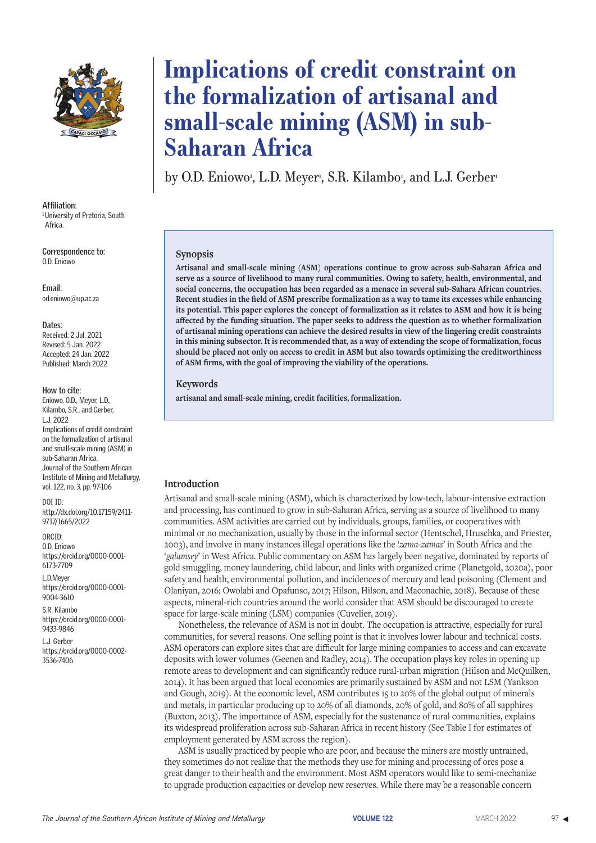

**Affiliation:** <sup>1</sup> University of Pretoria, South Africa.

**Correspondence to:** O.D. Eniowo

**Email:** od.eniowo@up.ac.za

#### **Dates:**

Received: 2 Jul. 2021 Revised: 5 Jan. 2022 Accepted: 24 Jan. 2022 Published: March 2022

#### **How to cite:**

Eniowo, O.D., Meyer, L.D., Kilambo, S.R., and Gerber, L.J. 2022 Implications of credit constraint on the formalization of artisanal and small-scale mining (ASM) in sub-Saharan Africa. Journal of the Southern African Institute of Mining and Metallurgy, vol. 122, no. 3, pp. 97-106

DOI ID: http://dx.doi.org/10.17159/2411- 9717/1665/2022

ORCID: O.D. Eniowo https://orcid.org/0000-0001- 6173-7709

L.D.Meyer https://orcid.org/0000-0001- 9004-3610

S.R. Kilambo https://orcid.org/0000-0001- 9433-9846

L.J. Gerber https://orcid.org/0000-0002- 3536-7406

# **Implications of credit constraint on the formalization of artisanal and small-scale mining (ASM) in sub-Saharan Africa**

by O.D. Eniowo<sup>i</sup>, L.D. Meyer<sup>i</sup>, S.R. Kilambo<sup>i</sup>, and L.J. Gerber<sup>i</sup>

#### **Synopsis**

**Artisanal and small-scale mining (ASM) operations continue to grow across sub-Saharan Africa and serve as a source of livelihood to many rural communities. Owing to safety, health, environmental, and social concerns, the occupation has been regarded as a menace in several sub-Sahara African countries. Recent studies in the field of ASM prescribe formalization as a way to tame its excesses while enhancing its potential. This paper explores the concept of formalization as it relates to ASM and how it is being affected by the funding situation. The paper seeks to address the question as to whether formalization of artisanal mining operations can achieve the desired results in view of the lingering credit constraints in this mining subsector. It is recommended that, as a way of extending the scope of formalization, focus should be placed not only on access to credit in ASM but also towards optimizing the creditworthiness of ASM firms, with the goal of improving the viability of the operations.**

#### **Keywords**

**artisanal and small-scale mining, credit facilities, formalization.**

#### **Introduction**

Artisanal and small-scale mining (ASM), which is characterized by low-tech, labour-intensive extraction and processing, has continued to grow in sub-Saharan Africa, serving as a source of livelihood to many communities. ASM activities are carried out by individuals, groups, families, or cooperatives with minimal or no mechanization, usually by those in the informal sector (Hentschel, Hruschka, and Priester, 2003), and involve in many instances illegal operations like the '*zama-zamas*' in South Africa and the '*galamsey*' in West Africa. Public commentary on ASM has largely been negative, dominated by reports of gold smuggling, money laundering, child labour, and links with organized crime (Planetgold, 2020a), poor safety and health, environmental pollution, and incidences of mercury and lead poisoning (Clement and Olaniyan, 2016; Owolabi and Opafunso, 2017; Hilson, Hilson, and Maconachie, 2018). Because of these aspects, mineral-rich countries around the world consider that ASM should be discouraged to create space for large-scale mining (LSM) companies (Cuvelier, 2019).

Nonetheless, the relevance of ASM is not in doubt. The occupation is attractive, especially for rural communities, for several reasons. One selling point is that it involves lower labour and technical costs. ASM operators can explore sites that are difficult for large mining companies to access and can excavate deposits with lower volumes (Geenen and Radley, 2014). The occupation plays key roles in opening up remote areas to development and can significantly reduce rural-urban migration (Hilson and McQuilken, 2014). It has been argued that local economies are primarily sustained by ASM and not LSM (Yankson and Gough, 2019). At the economic level, ASM contributes 15 to 20% of the global output of minerals and metals, in particular producing up to 20% of all diamonds, 20% of gold, and 80% of all sapphires (Buxton, 2013). The importance of ASM, especially for the sustenance of rural communities, explains its widespread proliferation across sub-Saharan Africa in recent history (See Table I for estimates of employment generated by ASM across the region).

ASM is usually practiced by people who are poor, and because the miners are mostly untrained, they sometimes do not realize that the methods they use for mining and processing of ores pose a great danger to their health and the environment. Most ASM operators would like to semi-mechanize to upgrade production capacities or develop new reserves. While there may be a reasonable concern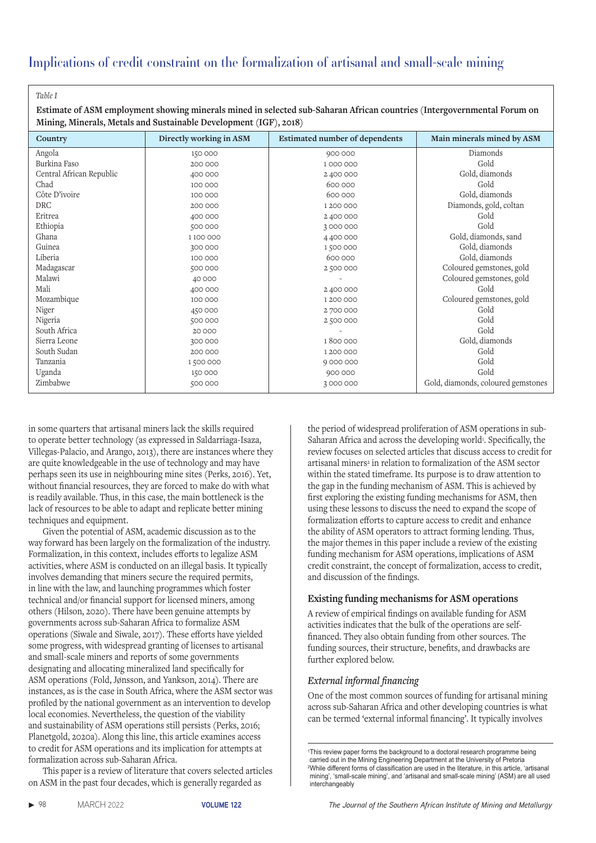*Table I*

 **Estimate of ASM employment showing minerals mined in selected sub-Saharan African countries (Intergovernmental Forum on Mining, Minerals, Metals and Sustainable Development (IGF), 2018)**

| Country                  | Directly working in ASM | <b>Estimated number of dependents</b> | Main minerals mined by ASM         |
|--------------------------|-------------------------|---------------------------------------|------------------------------------|
| Angola                   | 150 000                 | 900 000                               | Diamonds                           |
| Burkina Faso             | 200 000                 | 1000000                               | Gold                               |
| Central African Republic | 400 000                 | 2 400 000                             | Gold, diamonds                     |
| Chad                     | 100 000                 | 600 000                               | Gold                               |
| Côte D'ivoire            | 100 000                 | 600 000                               | Gold, diamonds                     |
| DRC                      | 200 000                 | 1 200 000                             | Diamonds, gold, coltan             |
| Eritrea                  | 400 000                 | 2 400 000                             | Gold                               |
| Ethiopia                 | 500 000                 | 3000000                               | Gold                               |
| Ghana                    | 1100000                 | 4 400 000                             | Gold, diamonds, sand               |
| Guinea                   | 300 000                 | 1500000                               | Gold, diamonds                     |
| Liberia                  | 100 000                 | 600 000                               | Gold, diamonds                     |
| Madagascar               | 500 000                 | 2500000                               | Coloured gemstones, gold           |
| Malawi                   | 40 000                  |                                       | Coloured gemstones, gold           |
| Mali                     | 400 000                 | 2 400 000                             | Gold                               |
| Mozambique               | 100 000                 | 1 200 000                             | Coloured gemstones, gold           |
| Niger                    | 450 000                 | 2700000                               | Gold                               |
| Nigeria                  | 500 000                 | 2500000                               | Gold                               |
| South Africa             | 20 000                  |                                       | Gold                               |
| Sierra Leone             | 300 000                 | 1800000                               | Gold, diamonds                     |
| South Sudan              | 200 000                 | 1 200 000                             | Gold                               |
| Tanzania                 | 1500000                 | 9 000 000                             | Gold                               |
| Uganda                   | 150 000                 | 900 000                               | Gold                               |
| Zimbabwe                 | 500 000                 | 3000000                               | Gold, diamonds, coloured gemstones |

in some quarters that artisanal miners lack the skills required to operate better technology (as expressed in Saldarriaga-Isaza, Villegas-Palacio, and Arango, 2013), there are instances where they are quite knowledgeable in the use of technology and may have perhaps seen its use in neighbouring mine sites (Perks, 2016). Yet, without financial resources, they are forced to make do with what is readily available. Thus, in this case, the main bottleneck is the lack of resources to be able to adapt and replicate better mining techniques and equipment.

Given the potential of ASM, academic discussion as to the way forward has been largely on the formalization of the industry. Formalization, in this context, includes efforts to legalize ASM activities, where ASM is conducted on an illegal basis. It typically involves demanding that miners secure the required permits, in line with the law, and launching programmes which foster technical and/or financial support for licensed miners, among others (Hilson, 2020). There have been genuine attempts by governments across sub-Saharan Africa to formalize ASM operations (Siwale and Siwale, 2017). These efforts have yielded some progress, with widespread granting of licenses to artisanal and small-scale miners and reports of some governments designating and allocating mineralized land specifically for ASM operations (Fold, Jønsson, and Yankson, 2014). There are instances, as is the case in South Africa, where the ASM sector was profiled by the national government as an intervention to develop local economies. Nevertheless, the question of the viability and sustainability of ASM operations still persists (Perks, 2016; Planetgold, 2020a). Along this line, this article examines access to credit for ASM operations and its implication for attempts at formalization across sub-Saharan Africa.

This paper is a review of literature that covers selected articles on ASM in the past four decades, which is generally regarded as

the period of widespread proliferation of ASM operations in sub-Saharan Africa and across the developing world<sup>1</sup>. Specifically, the review focuses on selected articles that discuss access to credit for artisanal miners<sup>2</sup> in relation to formalization of the ASM sector within the stated timeframe. Its purpose is to draw attention to the gap in the funding mechanism of ASM. This is achieved by first exploring the existing funding mechanisms for ASM, then using these lessons to discuss the need to expand the scope of formalization efforts to capture access to credit and enhance the ability of ASM operators to attract forming lending. Thus, the major themes in this paper include a review of the existing funding mechanism for ASM operations, implications of ASM credit constraint, the concept of formalization, access to credit, and discussion of the findings.

# **Existing funding mechanisms for ASM operations**

A review of empirical findings on available funding for ASM activities indicates that the bulk of the operations are selffinanced. They also obtain funding from other sources. The funding sources, their structure, benefits, and drawbacks are further explored below.

# *External informal financing*

One of the most common sources of funding for artisanal mining across sub-Saharan Africa and other developing countries is what can be termed 'external informal financing'. It typically involves

<sup>1</sup>This review paper forms the background to a doctoral research programme being carried out in the Mining Engineering Department at the University of Pretoria <sup>2</sup>While different forms of classification are used in the literature, in this article, 'artisanal mining', 'small-scale mining', and 'artisanal and small-scale mining' (ASM) are all used interchangeably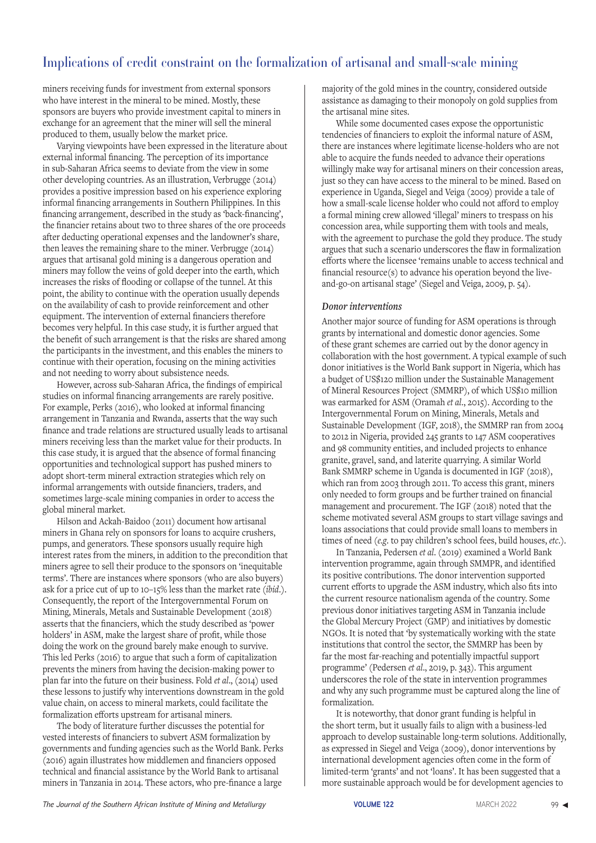miners receiving funds for investment from external sponsors who have interest in the mineral to be mined. Mostly, these sponsors are buyers who provide investment capital to miners in exchange for an agreement that the miner will sell the mineral produced to them, usually below the market price.

Varying viewpoints have been expressed in the literature about external informal financing. The perception of its importance in sub-Saharan Africa seems to deviate from the view in some other developing countries. As an illustration, Verbrugge (2014) provides a positive impression based on his experience exploring informal financing arrangements in Southern Philippines. In this financing arrangement, described in the study as 'back-financing', the financier retains about two to three shares of the ore proceeds after deducting operational expenses and the landowner's share, then leaves the remaining share to the miner. Verbrugge (2014) argues that artisanal gold mining is a dangerous operation and miners may follow the veins of gold deeper into the earth, which increases the risks of flooding or collapse of the tunnel. At this point, the ability to continue with the operation usually depends on the availability of cash to provide reinforcement and other equipment. The intervention of external financiers therefore becomes very helpful. In this case study, it is further argued that the benefit of such arrangement is that the risks are shared among the participants in the investment, and this enables the miners to continue with their operation, focusing on the mining activities and not needing to worry about subsistence needs.

However, across sub-Saharan Africa, the findings of empirical studies on informal financing arrangements are rarely positive. For example, Perks (2016), who looked at informal financing arrangement in Tanzania and Rwanda, asserts that the way such finance and trade relations are structured usually leads to artisanal miners receiving less than the market value for their products. In this case study, it is argued that the absence of formal financing opportunities and technological support has pushed miners to adopt short-term mineral extraction strategies which rely on informal arrangements with outside financiers, traders, and sometimes large-scale mining companies in order to access the global mineral market.

Hilson and Ackah-Baidoo (2011) document how artisanal miners in Ghana rely on sponsors for loans to acquire crushers, pumps, and generators. These sponsors usually require high interest rates from the miners, in addition to the precondition that miners agree to sell their produce to the sponsors on 'inequitable terms'. There are instances where sponsors (who are also buyers) ask for a price cut of up to 10–15% less than the market rate (*ibid*.). Consequently, the report of the Intergovernmental Forum on Mining, Minerals, Metals and Sustainable Development (2018) asserts that the financiers, which the study described as 'power holders' in ASM, make the largest share of profit, while those doing the work on the ground barely make enough to survive. This led Perks (2016) to argue that such a form of capitalization prevents the miners from having the decision-making power to plan far into the future on their business. Fold *et al*., (2014) used these lessons to justify why interventions downstream in the gold value chain, on access to mineral markets, could facilitate the formalization efforts upstream for artisanal miners.

The body of literature further discusses the potential for vested interests of financiers to subvert ASM formalization by governments and funding agencies such as the World Bank. Perks (2016) again illustrates how middlemen and financiers opposed technical and financial assistance by the World Bank to artisanal miners in Tanzania in 2014. These actors, who pre-finance a large

majority of the gold mines in the country, considered outside assistance as damaging to their monopoly on gold supplies from the artisanal mine sites.

While some documented cases expose the opportunistic tendencies of financiers to exploit the informal nature of ASM, there are instances where legitimate license-holders who are not able to acquire the funds needed to advance their operations willingly make way for artisanal miners on their concession areas, just so they can have access to the mineral to be mined. Based on experience in Uganda, Siegel and Veiga (2009) provide a tale of how a small-scale license holder who could not afford to employ a formal mining crew allowed 'illegal' miners to trespass on his concession area, while supporting them with tools and meals, with the agreement to purchase the gold they produce. The study argues that such a scenario underscores the flaw in formalization efforts where the licensee 'remains unable to access technical and financial resource(s) to advance his operation beyond the liveand-go-on artisanal stage' (Siegel and Veiga, 2009, p. 54).

#### *Donor interventions*

Another major source of funding for ASM operations is through grants by international and domestic donor agencies. Some of these grant schemes are carried out by the donor agency in collaboration with the host government. A typical example of such donor initiatives is the World Bank support in Nigeria, which has a budget of US\$120 million under the Sustainable Management of Mineral Resources Project (SMMRP), of which US\$10 million was earmarked for ASM (Oramah *et al*., 2015). According to the Intergovernmental Forum on Mining, Minerals, Metals and Sustainable Development (IGF, 2018), the SMMRP ran from 2004 to 2012 in Nigeria, provided 245 grants to 147 ASM cooperatives and 98 community entities, and included projects to enhance granite, gravel, sand, and laterite quarrying. A similar World Bank SMMRP scheme in Uganda is documented in IGF (2018), which ran from 2003 through 2011. To access this grant, miners only needed to form groups and be further trained on financial management and procurement. The IGF (2018) noted that the scheme motivated several ASM groups to start village savings and loans associations that could provide small loans to members in times of need (*e.g*. to pay children's school fees, build houses, *etc*.).

In Tanzania, Pedersen *et al*. (2019) examined a World Bank intervention programme, again through SMMPR, and identified its positive contributions. The donor intervention supported current efforts to upgrade the ASM industry, which also fits into the current resource nationalism agenda of the country. Some previous donor initiatives targeting ASM in Tanzania include the Global Mercury Project (GMP) and initiatives by domestic NGOs. It is noted that 'by systematically working with the state institutions that control the sector, the SMMRP has been by far the most far-reaching and potentially impactful support programme' (Pedersen *et al*., 2019, p. 343). This argument underscores the role of the state in intervention programmes and why any such programme must be captured along the line of formalization.

It is noteworthy, that donor grant funding is helpful in the short term, but it usually fails to align with a business-led approach to develop sustainable long-term solutions. Additionally, as expressed in Siegel and Veiga (2009), donor interventions by international development agencies often come in the form of limited-term 'grants' and not 'loans'. It has been suggested that a more sustainable approach would be for development agencies to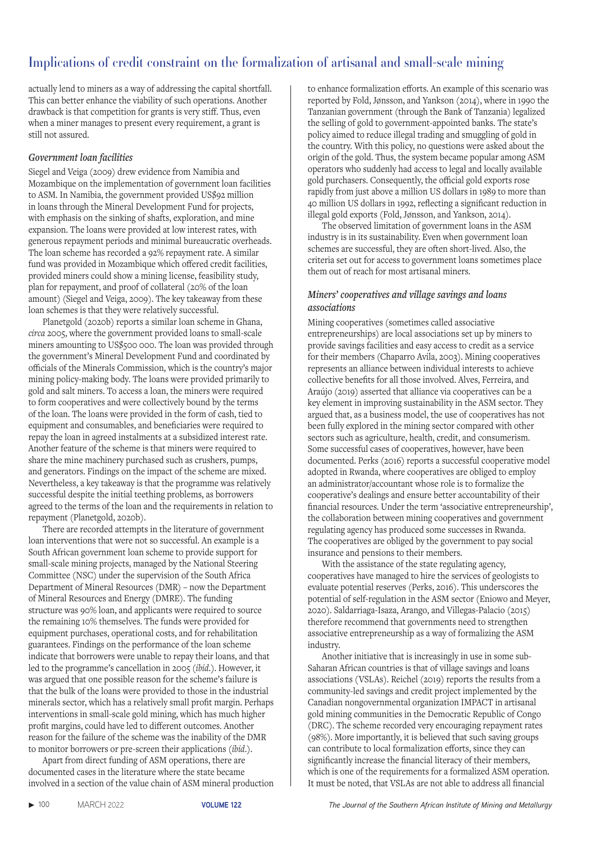actually lend to miners as a way of addressing the capital shortfall. This can better enhance the viability of such operations. Another drawback is that competition for grants is very stiff. Thus, even when a miner manages to present every requirement, a grant is still not assured.

# *Government loan facilities*

Siegel and Veiga (2009) drew evidence from Namibia and Mozambique on the implementation of government loan facilities to ASM. In Namibia, the government provided US\$92 million in loans through the Mineral Development Fund for projects, with emphasis on the sinking of shafts, exploration, and mine expansion. The loans were provided at low interest rates, with generous repayment periods and minimal bureaucratic overheads. The loan scheme has recorded a 92% repayment rate. A similar fund was provided in Mozambique which offered credit facilities, provided miners could show a mining license, feasibility study, plan for repayment, and proof of collateral (20% of the loan amount) (Siegel and Veiga, 2009). The key takeaway from these loan schemes is that they were relatively successful.

Planetgold (2020b) reports a similar loan scheme in Ghana, *circa* 2005, where the government provided loans to small-scale miners amounting to US\$500 000. The loan was provided through the government's Mineral Development Fund and coordinated by officials of the Minerals Commission, which is the country's major mining policy-making body. The loans were provided primarily to gold and salt miners. To access a loan, the miners were required to form cooperatives and were collectively bound by the terms of the loan. The loans were provided in the form of cash, tied to equipment and consumables, and beneficiaries were required to repay the loan in agreed instalments at a subsidized interest rate. Another feature of the scheme is that miners were required to share the mine machinery purchased such as crushers, pumps, and generators. Findings on the impact of the scheme are mixed. Nevertheless, a key takeaway is that the programme was relatively successful despite the initial teething problems, as borrowers agreed to the terms of the loan and the requirements in relation to repayment (Planetgold, 2020b).

There are recorded attempts in the literature of government loan interventions that were not so successful. An example is a South African government loan scheme to provide support for small-scale mining projects, managed by the National Steering Committee (NSC) under the supervision of the South Africa Department of Mineral Resources (DMR) – now the Department of Mineral Resources and Energy (DMRE). The funding structure was 90% loan, and applicants were required to source the remaining 10% themselves. The funds were provided for equipment purchases, operational costs, and for rehabilitation guarantees. Findings on the performance of the loan scheme indicate that borrowers were unable to repay their loans, and that led to the programme's cancellation in 2005 (*ibid*.). However, it was argued that one possible reason for the scheme's failure is that the bulk of the loans were provided to those in the industrial minerals sector, which has a relatively small profit margin. Perhaps interventions in small-scale gold mining, which has much higher profit margins, could have led to different outcomes. Another reason for the failure of the scheme was the inability of the DMR to monitor borrowers or pre-screen their applications (*ibid*.).

Apart from direct funding of ASM operations, there are documented cases in the literature where the state became involved in a section of the value chain of ASM mineral production to enhance formalization efforts. An example of this scenario was reported by Fold, Jønsson, and Yankson (2014), where in 1990 the Tanzanian government (through the Bank of Tanzania) legalized the selling of gold to government-appointed banks. The state's policy aimed to reduce illegal trading and smuggling of gold in the country. With this policy, no questions were asked about the origin of the gold. Thus, the system became popular among ASM operators who suddenly had access to legal and locally available gold purchasers. Consequently, the official gold exports rose rapidly from just above a million US dollars in 1989 to more than 40 million US dollars in 1992, reflecting a significant reduction in illegal gold exports (Fold, Jønsson, and Yankson, 2014).

The observed limitation of government loans in the ASM industry is in its sustainability. Even when government loan schemes are successful, they are often short-lived. Also, the criteria set out for access to government loans sometimes place them out of reach for most artisanal miners.

# *Miners' cooperatives and village savings and loans associations*

Mining cooperatives (sometimes called associative entrepreneurships) are local associations set up by miners to provide savings facilities and easy access to credit as a service for their members (Chaparro Avila, 2003). Mining cooperatives represents an alliance between individual interests to achieve collective benefits for all those involved. Alves, Ferreira, and Araújo (2019) asserted that alliance via cooperatives can be a key element in improving sustainability in the ASM sector. They argued that, as a business model, the use of cooperatives has not been fully explored in the mining sector compared with other sectors such as agriculture, health, credit, and consumerism. Some successful cases of cooperatives, however, have been documented. Perks (2016) reports a successful cooperative model adopted in Rwanda, where cooperatives are obliged to employ an administrator/accountant whose role is to formalize the cooperative's dealings and ensure better accountability of their financial resources. Under the term 'associative entrepreneurship', the collaboration between mining cooperatives and government regulating agency has produced some successes in Rwanda. The cooperatives are obliged by the government to pay social insurance and pensions to their members.

With the assistance of the state regulating agency, cooperatives have managed to hire the services of geologists to evaluate potential reserves (Perks, 2016). This underscores the potential of self-regulation in the ASM sector (Eniowo and Meyer, 2020). Saldarriaga-Isaza, Arango, and Villegas-Palacio (2015) therefore recommend that governments need to strengthen associative entrepreneurship as a way of formalizing the ASM industry.

Another initiative that is increasingly in use in some sub-Saharan African countries is that of village savings and loans associations (VSLAs). Reichel (2019) reports the results from a community-led savings and credit project implemented by the Canadian nongovernmental organization IMPACT in artisanal gold mining communities in the Democratic Republic of Congo (DRC). The scheme recorded very encouraging repayment rates (98%). More importantly, it is believed that such saving groups can contribute to local formalization efforts, since they can significantly increase the financial literacy of their members, which is one of the requirements for a formalized ASM operation. It must be noted, that VSLAs are not able to address all financial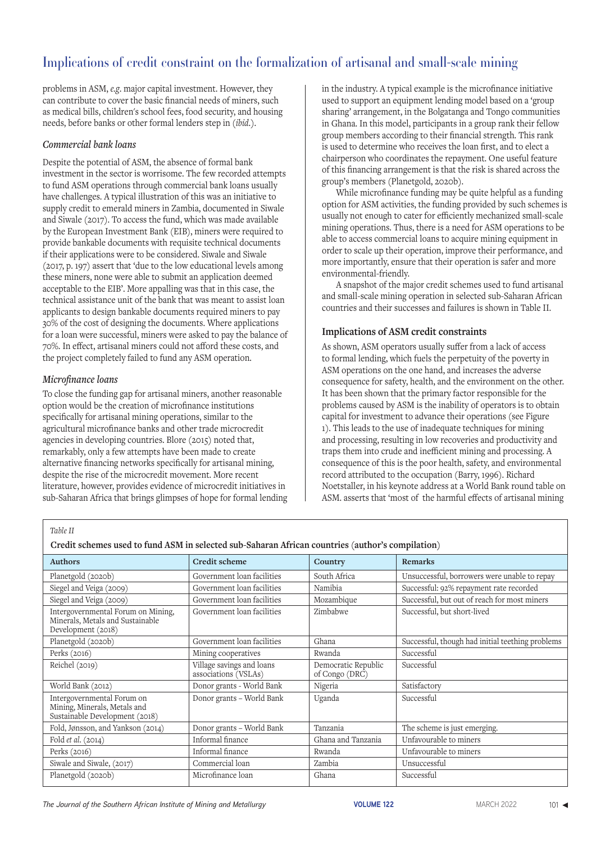problems in ASM, *e.g*. major capital investment. However, they can contribute to cover the basic financial needs of miners, such as medical bills, children's school fees, food security, and housing needs, before banks or other formal lenders step in (*ibid*.).

### *Commercial bank loans*

Despite the potential of ASM, the absence of formal bank investment in the sector is worrisome. The few recorded attempts to fund ASM operations through commercial bank loans usually have challenges. A typical illustration of this was an initiative to supply credit to emerald miners in Zambia, documented in Siwale and Siwale (2017). To access the fund, which was made available by the European Investment Bank (EIB), miners were required to provide bankable documents with requisite technical documents if their applications were to be considered. Siwale and Siwale (2017, p. 197) assert that 'due to the low educational levels among these miners, none were able to submit an application deemed acceptable to the EIB'. More appalling was that in this case, the technical assistance unit of the bank that was meant to assist loan applicants to design bankable documents required miners to pay 30% of the cost of designing the documents. Where applications for a loan were successful, miners were asked to pay the balance of 70%. In effect, artisanal miners could not afford these costs, and the project completely failed to fund any ASM operation.

### *Microfinance loans*

To close the funding gap for artisanal miners, another reasonable option would be the creation of microfinance institutions specifically for artisanal mining operations, similar to the agricultural microfinance banks and other trade microcredit agencies in developing countries. Blore (2015) noted that, remarkably, only a few attempts have been made to create alternative financing networks specifically for artisanal mining, despite the rise of the microcredit movement. More recent literature, however, provides evidence of microcredit initiatives in sub-Saharan Africa that brings glimpses of hope for formal lending in the industry. A typical example is the microfinance initiative used to support an equipment lending model based on a 'group sharing' arrangement, in the Bolgatanga and Tongo communities in Ghana. In this model, participants in a group rank their fellow group members according to their financial strength. This rank is used to determine who receives the loan first, and to elect a chairperson who coordinates the repayment. One useful feature of this financing arrangement is that the risk is shared across the group's members (Planetgold, 2020b).

While microfinance funding may be quite helpful as a funding option for ASM activities, the funding provided by such schemes is usually not enough to cater for efficiently mechanized small-scale mining operations. Thus, there is a need for ASM operations to be able to access commercial loans to acquire mining equipment in order to scale up their operation, improve their performance, and more importantly, ensure that their operation is safer and more environmental-friendly.

A snapshot of the major credit schemes used to fund artisanal and small-scale mining operation in selected sub-Saharan African countries and their successes and failures is shown in Table II.

### **Implications of ASM credit constraints**

As shown, ASM operators usually suffer from a lack of access to formal lending, which fuels the perpetuity of the poverty in ASM operations on the one hand, and increases the adverse consequence for safety, health, and the environment on the other. It has been shown that the primary factor responsible for the problems caused by ASM is the inability of operators is to obtain capital for investment to advance their operations (see Figure 1). This leads to the use of inadequate techniques for mining and processing, resulting in low recoveries and productivity and traps them into crude and inefficient mining and processing. A consequence of this is the poor health, safety, and environmental record attributed to the occupation (Barry, 1996). Richard Noetstaller, in his keynote address at a World Bank round table on ASM. asserts that 'most of the harmful effects of artisanal mining

 *Table II*

 **Credit schemes used to fund ASM in selected sub-Saharan African countries (author's compilation)**

| <b>Credit scheme</b>                              | Country                               | Remarks                                          |
|---------------------------------------------------|---------------------------------------|--------------------------------------------------|
| Government loan facilities                        | South Africa                          | Unsuccessful, borrowers were unable to repay     |
| Government loan facilities                        | Namibia                               | Successful: 92% repayment rate recorded          |
| Government loan facilities                        | Mozambique                            | Successful, but out of reach for most miners     |
| Government loan facilities                        | Zimbabwe                              | Successful, but short-lived                      |
| Government loan facilities                        | Ghana                                 | Successful, though had initial teething problems |
| Mining cooperatives                               | Rwanda                                | Successful                                       |
| Village savings and loans<br>associations (VSLAs) | Democratic Republic<br>of Congo (DRC) | Successful                                       |
| Donor grants - World Bank                         | Nigeria                               | Satisfactory                                     |
| Donor grants - World Bank                         | Uganda                                | Successful                                       |
| Donor grants - World Bank                         | Tanzania                              | The scheme is just emerging.                     |
| Informal finance                                  | Ghana and Tanzania                    | Unfavourable to miners                           |
| Informal finance                                  | Rwanda                                | Unfavourable to miners                           |
| Commercial loan                                   | Zambia                                | Unsuccessful                                     |
| Microfinance loan                                 | Ghana                                 | Successful                                       |
|                                                   |                                       |                                                  |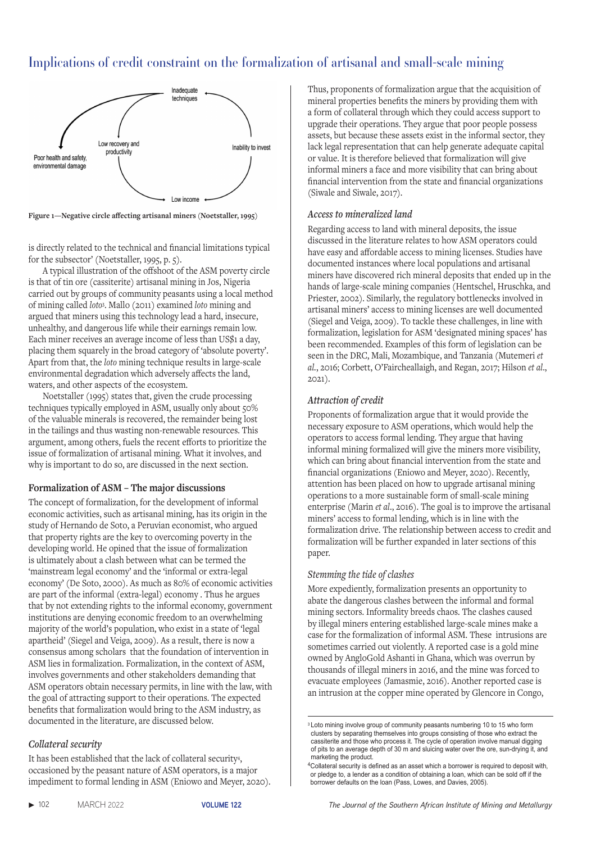

**Figure 1—Negative circle affecting artisanal miners (Noetstaller, 1995)**

is directly related to the technical and financial limitations typical for the subsector' (Noetstaller, 1995, p. 5).

A typical illustration of the offshoot of the ASM poverty circle is that of tin ore (cassiterite) artisanal mining in Jos, Nigeria carried out by groups of community peasants using a local method of mining called *loto*<sup>3</sup> . Mallo (2011) examined *loto* mining and argued that miners using this technology lead a hard, insecure, unhealthy, and dangerous life while their earnings remain low. Each miner receives an average income of less than US\$1 a day, placing them squarely in the broad category of 'absolute poverty'. Apart from that, the *loto* mining technique results in large-scale environmental degradation which adversely affects the land, waters, and other aspects of the ecosystem.

Noetstaller (1995) states that, given the crude processing techniques typically employed in ASM, usually only about 50% of the valuable minerals is recovered, the remainder being lost in the tailings and thus wasting non-renewable resources. This argument, among others, fuels the recent efforts to prioritize the issue of formalization of artisanal mining. What it involves, and why is important to do so, are discussed in the next section.

#### **Formalization of ASM – The major discussions**

The concept of formalization, for the development of informal economic activities, such as artisanal mining, has its origin in the study of Hernando de Soto, a Peruvian economist, who argued that property rights are the key to overcoming poverty in the developing world. He opined that the issue of formalization is ultimately about a clash between what can be termed the 'mainstream legal economy' and the 'informal or extra-legal economy' (De Soto, 2000). As much as 80% of economic activities are part of the informal (extra-legal) economy . Thus he argues that by not extending rights to the informal economy, government institutions are denying economic freedom to an overwhelming majority of the world's population, who exist in a state of 'legal apartheid' (Siegel and Veiga, 2009). As a result, there is now a consensus among scholars that the foundation of intervention in ASM lies in formalization. Formalization, in the context of ASM, involves governments and other stakeholders demanding that ASM operators obtain necessary permits, in line with the law, with the goal of attracting support to their operations. The expected benefits that formalization would bring to the ASM industry, as documented in the literature, are discussed below.

#### *Collateral security*

It has been established that the lack of collateral security4, occasioned by the peasant nature of ASM operators, is a major impediment to formal lending in ASM (Eniowo and Meyer, 2020). Thus, proponents of formalization argue that the acquisition of mineral properties benefits the miners by providing them with a form of collateral through which they could access support to upgrade their operations. They argue that poor people possess assets, but because these assets exist in the informal sector, they lack legal representation that can help generate adequate capital or value. It is therefore believed that formalization will give informal miners a face and more visibility that can bring about financial intervention from the state and financial organizations (Siwale and Siwale, 2017).

### *Access to mineralized land*

Regarding access to land with mineral deposits, the issue discussed in the literature relates to how ASM operators could have easy and affordable access to mining licenses. Studies have documented instances where local populations and artisanal miners have discovered rich mineral deposits that ended up in the hands of large-scale mining companies (Hentschel, Hruschka, and Priester, 2002). Similarly, the regulatory bottlenecks involved in artisanal miners' access to mining licenses are well documented (Siegel and Veiga, 2009). To tackle these challenges, in line with formalization, legislation for ASM 'designated mining spaces' has been recommended. Examples of this form of legislation can be seen in the DRC, Mali, Mozambique, and Tanzania (Mutemeri *et al.*, 2016; Corbett, O'Faircheallaigh, and Regan, 2017; Hilson *et al*., 2021).

### *Attraction of credit*

Proponents of formalization argue that it would provide the necessary exposure to ASM operations, which would help the operators to access formal lending. They argue that having informal mining formalized will give the miners more visibility, which can bring about financial intervention from the state and financial organizations (Eniowo and Meyer, 2020). Recently, attention has been placed on how to upgrade artisanal mining operations to a more sustainable form of small-scale mining enterprise (Marin *et al*., 2016). The goal is to improve the artisanal miners' access to formal lending, which is in line with the formalization drive. The relationship between access to credit and formalization will be further expanded in later sections of this paper.

# *Stemming the tide of clashes*

More expediently, formalization presents an opportunity to abate the dangerous clashes between the informal and formal mining sectors. Informality breeds chaos. The clashes caused by illegal miners entering established large-scale mines make a case for the formalization of informal ASM. These intrusions are sometimes carried out violently. A reported case is a gold mine owned by AngloGold Ashanti in Ghana, which was overrun by thousands of illegal miners in 2016, and the mine was forced to evacuate employees (Jamasmie, 2016). Another reported case is an intrusion at the copper mine operated by Glencore in Congo,

<sup>&</sup>lt;sup>3</sup> Loto mining involve group of community peasants numbering 10 to 15 who form clusters by separating themselves into groups consisting of those who extract the cassiterite and those who process it. The cycle of operation involve manual digging of pits to an average depth of 30 m and sluicing water over the ore, sun-drying it, and marketing the product.

<sup>&</sup>lt;sup>4</sup>Collateral security is defined as an asset which a borrower is required to deposit with, or pledge to, a lender as a condition of obtaining a loan, which can be sold off if the borrower defaults on the loan (Pass, Lowes, and Davies, 2005).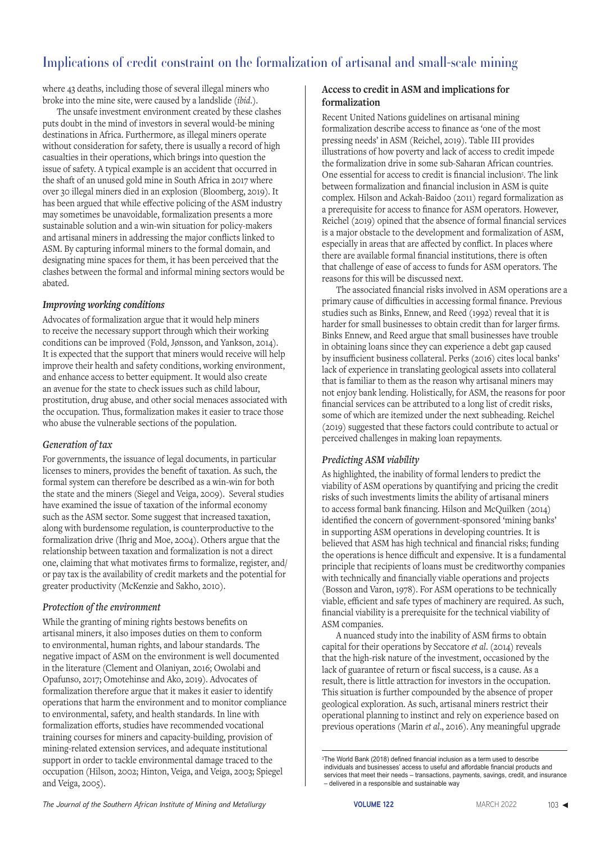where 43 deaths, including those of several illegal miners who broke into the mine site, were caused by a landslide (*ibid*.).

The unsafe investment environment created by these clashes puts doubt in the mind of investors in several would-be mining destinations in Africa. Furthermore, as illegal miners operate without consideration for safety, there is usually a record of high casualties in their operations, which brings into question the issue of safety. A typical example is an accident that occurred in the shaft of an unused gold mine in South Africa in 2017 where over 30 illegal miners died in an explosion (Bloomberg, 2019). It has been argued that while effective policing of the ASM industry may sometimes be unavoidable, formalization presents a more sustainable solution and a win-win situation for policy-makers and artisanal miners in addressing the major conflicts linked to ASM. By capturing informal miners to the formal domain, and designating mine spaces for them, it has been perceived that the clashes between the formal and informal mining sectors would be abated.

### *Improving working conditions*

Advocates of formalization argue that it would help miners to receive the necessary support through which their working conditions can be improved (Fold, Jønsson, and Yankson, 2014). It is expected that the support that miners would receive will help improve their health and safety conditions, working environment, and enhance access to better equipment. It would also create an avenue for the state to check issues such as child labour, prostitution, drug abuse, and other social menaces associated with the occupation. Thus, formalization makes it easier to trace those who abuse the vulnerable sections of the population.

# *Generation of tax*

For governments, the issuance of legal documents, in particular licenses to miners, provides the benefit of taxation. As such, the formal system can therefore be described as a win-win for both the state and the miners (Siegel and Veiga, 2009). Several studies have examined the issue of taxation of the informal economy such as the ASM sector. Some suggest that increased taxation, along with burdensome regulation, is counterproductive to the formalization drive (Ihrig and Moe, 2004). Others argue that the relationship between taxation and formalization is not a direct one, claiming that what motivates firms to formalize, register, and/ or pay tax is the availability of credit markets and the potential for greater productivity (McKenzie and Sakho, 2010).

# *Protection of the environment*

While the granting of mining rights bestows benefits on artisanal miners, it also imposes duties on them to conform to environmental, human rights, and labour standards. The negative impact of ASM on the environment is well documented in the literature (Clement and Olaniyan, 2016; Owolabi and Opafunso, 2017; Omotehinse and Ako, 2019). Advocates of formalization therefore argue that it makes it easier to identify operations that harm the environment and to monitor compliance to environmental, safety, and health standards. In line with formalization efforts, studies have recommended vocational training courses for miners and capacity-building, provision of mining-related extension services, and adequate institutional support in order to tackle environmental damage traced to the occupation (Hilson, 2002; Hinton, Veiga, and Veiga, 2003; Spiegel and Veiga, 2005).

### **Access to credit in ASM and implications for formalization**

Recent United Nations guidelines on artisanal mining formalization describe access to finance as 'one of the most pressing needs' in ASM (Reichel, 2019). Table III provides illustrations of how poverty and lack of access to credit impede the formalization drive in some sub-Saharan African countries. One essential for access to credit is financial inclusion5 . The link between formalization and financial inclusion in ASM is quite complex. Hilson and Ackah-Baidoo (2011) regard formalization as a prerequisite for access to finance for ASM operators. However, Reichel (2019) opined that the absence of formal financial services is a major obstacle to the development and formalization of ASM, especially in areas that are affected by conflict. In places where there are available formal financial institutions, there is often that challenge of ease of access to funds for ASM operators. The reasons for this will be discussed next.

The associated financial risks involved in ASM operations are a primary cause of difficulties in accessing formal finance. Previous studies such as Binks, Ennew, and Reed (1992) reveal that it is harder for small businesses to obtain credit than for larger firms. Binks Ennew, and Reed argue that small businesses have trouble in obtaining loans since they can experience a debt gap caused by insufficient business collateral. Perks (2016) cites local banks' lack of experience in translating geological assets into collateral that is familiar to them as the reason why artisanal miners may not enjoy bank lending. Holistically, for ASM, the reasons for poor financial services can be attributed to a long list of credit risks, some of which are itemized under the next subheading. Reichel (2019) suggested that these factors could contribute to actual or perceived challenges in making loan repayments.

# *Predicting ASM viability*

As highlighted, the inability of formal lenders to predict the viability of ASM operations by quantifying and pricing the credit risks of such investments limits the ability of artisanal miners to access formal bank financing. Hilson and McQuilken (2014) identified the concern of government-sponsored 'mining banks' in supporting ASM operations in developing countries. It is believed that ASM has high technical and financial risks; funding the operations is hence difficult and expensive. It is a fundamental principle that recipients of loans must be creditworthy companies with technically and financially viable operations and projects (Bosson and Varon, 1978). For ASM operations to be technically viable, efficient and safe types of machinery are required. As such, financial viability is a prerequisite for the technical viability of ASM companies.

A nuanced study into the inability of ASM firms to obtain capital for their operations by Seccatore *et al*. (2014) reveals that the high-risk nature of the investment, occasioned by the lack of guarantee of return or fiscal success, is a cause. As a result, there is little attraction for investors in the occupation. This situation is further compounded by the absence of proper geological exploration. As such, artisanal miners restrict their operational planning to instinct and rely on experience based on previous operations (Marin *et al*., 2016). Any meaningful upgrade

<sup>3</sup>The World Bank (2018) defined financial inclusion as a term used to describe individuals and businesses' access to useful and affordable financial products and services that meet their needs – transactions, payments, savings, credit, and insurance – delivered in a responsible and sustainable way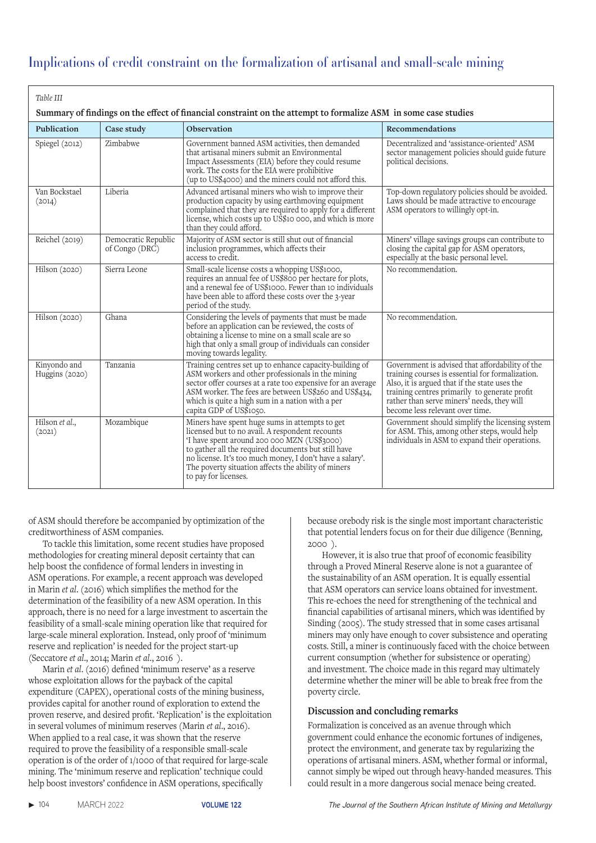| Table III                                                                                                      |                                       |                                                                                                                                                                                                                                                                                                                                                    |                                                                                                                                                                                                                                                                                        |  |  |  |
|----------------------------------------------------------------------------------------------------------------|---------------------------------------|----------------------------------------------------------------------------------------------------------------------------------------------------------------------------------------------------------------------------------------------------------------------------------------------------------------------------------------------------|----------------------------------------------------------------------------------------------------------------------------------------------------------------------------------------------------------------------------------------------------------------------------------------|--|--|--|
| Summary of findings on the effect of financial constraint on the attempt to formalize ASM in some case studies |                                       |                                                                                                                                                                                                                                                                                                                                                    |                                                                                                                                                                                                                                                                                        |  |  |  |
| Publication                                                                                                    | Case study                            | Observation                                                                                                                                                                                                                                                                                                                                        | Recommendations                                                                                                                                                                                                                                                                        |  |  |  |
| Spiegel (2012)                                                                                                 | Zimbabwe                              | Government banned ASM activities, then demanded<br>that artisanal miners submit an Environmental<br>Impact Assessments (EIA) before they could resume<br>work. The costs for the EIA were prohibitive<br>(up to US\$4000) and the miners could not afford this.                                                                                    | Decentralized and 'assistance-oriented' ASM<br>sector management policies should guide future<br>political decisions.                                                                                                                                                                  |  |  |  |
| Van Bockstael<br>(2014)                                                                                        | Liberia                               | Advanced artisanal miners who wish to improve their<br>production capacity by using earthmoving equipment<br>complained that they are required to apply for a different<br>license, which costs up to US\$10 000, and which is more<br>than they could afford.                                                                                     | Top-down regulatory policies should be avoided.<br>Laws should be made attractive to encourage<br>ASM operators to willingly opt-in.                                                                                                                                                   |  |  |  |
| Reichel (2019)                                                                                                 | Democratic Republic<br>of Congo (DRC) | Majority of ASM sector is still shut out of financial<br>inclusion programmes, which affects their<br>access to credit.                                                                                                                                                                                                                            | Miners' village savings groups can contribute to<br>closing the capital gap for ASM operators,<br>especially at the basic personal level.                                                                                                                                              |  |  |  |
| Hilson (2020)                                                                                                  | Sierra Leone                          | Small-scale license costs a whopping US\$1000,<br>requires an annual fee of US\$800 per hectare for plots,<br>and a renewal fee of US\$1000. Fewer than 10 individuals<br>have been able to afford these costs over the 3-year<br>period of the study.                                                                                             | No recommendation.                                                                                                                                                                                                                                                                     |  |  |  |
| Hilson (2020)                                                                                                  | Ghana                                 | Considering the levels of payments that must be made<br>before an application can be reviewed, the costs of<br>obtaining a license to mine on a small scale are so<br>high that only a small group of individuals can consider<br>moving towards legality.                                                                                         | No recommendation.                                                                                                                                                                                                                                                                     |  |  |  |
| Kinyondo and<br>Huggins (2020)                                                                                 | Tanzania                              | Training centres set up to enhance capacity-building of<br>ASM workers and other professionals in the mining<br>sector offer courses at a rate too expensive for an average<br>ASM worker. The fees are between US\$260 and US\$434,<br>which is quite a high sum in a nation with a per<br>capita GDP of US\$1050.                                | Government is advised that affordability of the<br>training courses is essential for formalization.<br>Also, it is argued that if the state uses the<br>training centres primarily to generate profit<br>rather than serve miners' needs, they will<br>become less relevant over time. |  |  |  |
| Hilson et al.,<br>(2021)                                                                                       | Mozambique                            | Miners have spent huge sums in attempts to get<br>licensed but to no avail. A respondent recounts<br>'I have spent around 200 000 MZN (US\$3000)<br>to gather all the required documents but still have<br>no license. It's too much money, I don't have a salary'.<br>The poverty situation affects the ability of miners<br>to pay for licenses. | Government should simplify the licensing system<br>for ASM. This, among other steps, would help<br>individuals in ASM to expand their operations.                                                                                                                                      |  |  |  |

of ASM should therefore be accompanied by optimization of the creditworthiness of ASM companies.

To tackle this limitation, some recent studies have proposed methodologies for creating mineral deposit certainty that can help boost the confidence of formal lenders in investing in ASM operations. For example, a recent approach was developed in Marin *et al*. (2016) which simplifies the method for the determination of the feasibility of a new ASM operation. In this approach, there is no need for a large investment to ascertain the feasibility of a small-scale mining operation like that required for large-scale mineral exploration. Instead, only proof of 'minimum reserve and replication' is needed for the project start-up (Seccatore *et al*., 2014; Marin *et al*., 2016 ).

Marin *et al*. (2016) defined 'minimum reserve' as a reserve whose exploitation allows for the payback of the capital expenditure (CAPEX), operational costs of the mining business, provides capital for another round of exploration to extend the proven reserve, and desired profit. 'Replication' is the exploitation in several volumes of minimum reserves (Marin *et al*., 2016). When applied to a real case, it was shown that the reserve required to prove the feasibility of a responsible small-scale operation is of the order of 1/1000 of that required for large-scale mining. The 'minimum reserve and replication' technique could help boost investors' confidence in ASM operations, specifically

because orebody risk is the single most important characteristic that potential lenders focus on for their due diligence (Benning,  $2000$ ).

However, it is also true that proof of economic feasibility through a Proved Mineral Reserve alone is not a guarantee of the sustainability of an ASM operation. It is equally essential that ASM operators can service loans obtained for investment. This re-echoes the need for strengthening of the technical and financial capabilities of artisanal miners, which was identified by Sinding (2005). The study stressed that in some cases artisanal miners may only have enough to cover subsistence and operating costs. Still, a miner is continuously faced with the choice between current consumption (whether for subsistence or operating) and investment. The choice made in this regard may ultimately determine whether the miner will be able to break free from the poverty circle.

# **Discussion and concluding remarks**

Formalization is conceived as an avenue through which government could enhance the economic fortunes of indigenes, protect the environment, and generate tax by regularizing the operations of artisanal miners. ASM, whether formal or informal, cannot simply be wiped out through heavy-handed measures. This could result in a more dangerous social menace being created.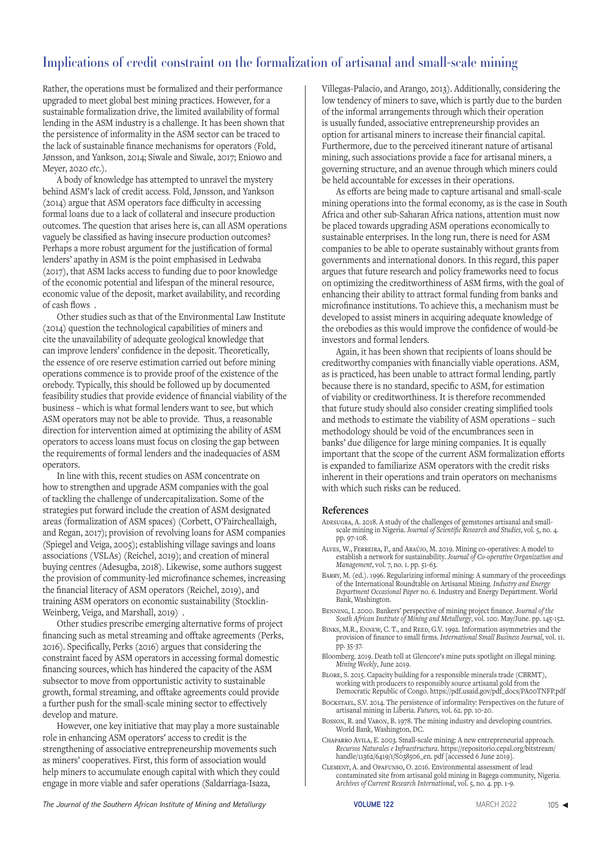Rather, the operations must be formalized and their performance upgraded to meet global best mining practices. However, for a sustainable formalization drive, the limited availability of formal lending in the ASM industry is a challenge. It has been shown that the persistence of informality in the ASM sector can be traced to the lack of sustainable finance mechanisms for operators (Fold, Jønsson, and Yankson, 2014; Siwale and Siwale, 2017; Eniowo and Meyer, 2020 *etc*.).

A body of knowledge has attempted to unravel the mystery behind ASM's lack of credit access. Fold, Jønsson, and Yankson (2014) argue that ASM operators face difficulty in accessing formal loans due to a lack of collateral and insecure production outcomes. The question that arises here is, can all ASM operations vaguely be classified as having insecure production outcomes? Perhaps a more robust argument for the justification of formal lenders' apathy in ASM is the point emphasised in Ledwaba (2017), that ASM lacks access to funding due to poor knowledge of the economic potential and lifespan of the mineral resource, economic value of the deposit, market availability, and recording of cash flows .

Other studies such as that of the Environmental Law Institute (2014) question the technological capabilities of miners and cite the unavailability of adequate geological knowledge that can improve lenders' confidence in the deposit. Theoretically, the essence of ore reserve estimation carried out before mining operations commence is to provide proof of the existence of the orebody. Typically, this should be followed up by documented feasibility studies that provide evidence of financial viability of the business – which is what formal lenders want to see, but which ASM operators may not be able to provide. Thus, a reasonable direction for intervention aimed at optimizing the ability of ASM operators to access loans must focus on closing the gap between the requirements of formal lenders and the inadequacies of ASM operators.

In line with this, recent studies on ASM concentrate on how to strengthen and upgrade ASM companies with the goal of tackling the challenge of undercapitalization. Some of the strategies put forward include the creation of ASM designated areas (formalization of ASM spaces) (Corbett, O'Faircheallaigh, and Regan, 2017); provision of revolving loans for ASM companies (Spiegel and Veiga, 2005); establishing village savings and loans associations (VSLAs) (Reichel, 2019); and creation of mineral buying centres (Adesugba, 2018). Likewise, some authors suggest the provision of community-led microfinance schemes, increasing the financial literacy of ASM operators (Reichel, 2019), and training ASM operators on economic sustainability (Stocklin-Weinberg, Veiga, and Marshall, 2019) .

Other studies prescribe emerging alternative forms of project financing such as metal streaming and offtake agreements (Perks, 2016). Specifically, Perks (2016) argues that considering the constraint faced by ASM operators in accessing formal domestic financing sources, which has hindered the capacity of the ASM subsector to move from opportunistic activity to sustainable growth, formal streaming, and offtake agreements could provide a further push for the small-scale mining sector to effectively develop and mature.

However, one key initiative that may play a more sustainable role in enhancing ASM operators' access to credit is the strengthening of associative entrepreneurship movements such as miners' cooperatives. First, this form of association would help miners to accumulate enough capital with which they could engage in more viable and safer operations (Saldarriaga-Isaza,

Villegas-Palacio, and Arango, 2013). Additionally, considering the low tendency of miners to save, which is partly due to the burden of the informal arrangements through which their operation is usually funded, associative entrepreneurship provides an option for artisanal miners to increase their financial capital. Furthermore, due to the perceived itinerant nature of artisanal mining, such associations provide a face for artisanal miners, a governing structure, and an avenue through which miners could be held accountable for excesses in their operations.

As efforts are being made to capture artisanal and small-scale mining operations into the formal economy, as is the case in South Africa and other sub-Saharan Africa nations, attention must now be placed towards upgrading ASM operations economically to sustainable enterprises. In the long run, there is need for ASM companies to be able to operate sustainably without grants from governments and international donors. In this regard, this paper argues that future research and policy frameworks need to focus on optimizing the creditworthiness of ASM firms, with the goal of enhancing their ability to attract formal funding from banks and microfinance institutions. To achieve this, a mechanism must be developed to assist miners in acquiring adequate knowledge of the orebodies as this would improve the confidence of would-be investors and formal lenders.

Again, it has been shown that recipients of loans should be creditworthy companies with financially viable operations. ASM, as is practiced, has been unable to attract formal lending, partly because there is no standard, specific to ASM, for estimation of viability or creditworthiness. It is therefore recommended that future study should also consider creating simplified tools and methods to estimate the viability of ASM operations – such methodology should be void of the encumbrances seen in banks' due diligence for large mining companies. It is equally important that the scope of the current ASM formalization efforts is expanded to familiarize ASM operators with the credit risks inherent in their operations and train operators on mechanisms with which such risks can be reduced.

#### **References**

- Adesugba, A. 2018. A study of the challenges of gemstones artisanal and smallscale mining in Nigeria. *Journal of Scientific Research and Studies*, vol. 5, no. 4. pp. 97-108.
- Alves, W., Ferreira, P., and Araújo, M. 2019. Mining co-operatives: A model to establish a network for sustainability. *Journal of Co-operative Organization and Management*, vol. 7, no. 1. pp. 51-63.
- Barry, M. (ed.). 1996. Regularizing informal mining: A summary of the proceedings of the International Roundtable on Artisanal Mining. *Industry and Energy Department Occasional Paper* no. 6. Industry and Energy Department. World Bank, Washington.
- Benning, I. 2000. Bankers' perspective of mining project finance. *Journal of the South African Institute of Mining and Metallurgy*, vol. 100. May/June. pp. 145-152.
- BINKS, M.R., ENNEW, C. T., and REED, G.V. 1992. Information asymmetries and the provision of finance to small firms. *International Small Business Journal*, vol. 11. pp. 35-37.
- Bloomberg. 2019. Death toll at Glencore's mine puts spotlight on illegal mining. *Mining Weekly*, June 2019.
- Blore, S. 2015. Capacity building for a responsible minerals trade (CBRMT), working with producers to responsibly source artisanal gold from the Democratic Republic of Congo. https://pdf.usaid.gov/pdf\_docs/PA00TNFP.pdf
- Bockstael, S.V. 2014. The persistence of informality: Perspectives on the future of artisanal mining in Liberia. *Futures,* vol. 62. pp. 10-20.
- Bosson, R. and Varon, B. 1978. The mining industry and developing countries. World Bank, Washington, DC.
- Chaparro Avila, E. 2003. Small-scale mining: A new entrepreneurial approach. *Recursos Naturales e Infraestructura*. https://repositorio.cepal.org/bitstream/ handle/11362/6419/1/S038506\_en. pdf [accessed 6 June 2019].
- Clement, A. and Opafunso, O. 2016. Environmental assessment of lead contaminated site from artisanal gold mining in Bagega community, Nigeria. *Archives of Current Research International*, vol. 5, no. 4. pp. 1-9.